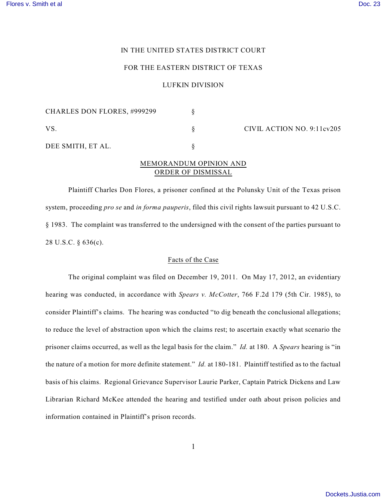### IN THE UNITED STATES DISTRICT COURT

## FOR THE EASTERN DISTRICT OF TEXAS

### LUFKIN DIVISION

| <b>CHARLES DON FLORES, #999299</b> |  | CIVIL ACTION NO. 9:11cv205 |
|------------------------------------|--|----------------------------|
| VS.                                |  |                            |
| DEE SMITH, ET AL.                  |  |                            |

# MEMORANDUM OPINION AND ORDER OF DISMISSAL

Plaintiff Charles Don Flores, a prisoner confined at the Polunsky Unit of the Texas prison system, proceeding *pro se* and *in forma pauperis*, filed this civil rights lawsuit pursuant to 42 U.S.C. § 1983. The complaint was transferred to the undersigned with the consent of the parties pursuant to 28 U.S.C. § 636(c).

### Facts of the Case

The original complaint was filed on December 19, 2011. On May 17, 2012, an evidentiary hearing was conducted, in accordance with *Spears v. McCotter*, 766 F.2d 179 (5th Cir. 1985), to consider Plaintiff's claims. The hearing was conducted "to dig beneath the conclusional allegations; to reduce the level of abstraction upon which the claims rest; to ascertain exactly what scenario the prisoner claims occurred, as well as the legal basis for the claim." *Id.* at 180. A *Spears* hearing is "in the nature of a motion for more definite statement." *Id.* at 180-181. Plaintiff testified as to the factual basis of his claims. Regional Grievance Supervisor Laurie Parker, Captain Patrick Dickens and Law Librarian Richard McKee attended the hearing and testified under oath about prison policies and information contained in Plaintiff's prison records.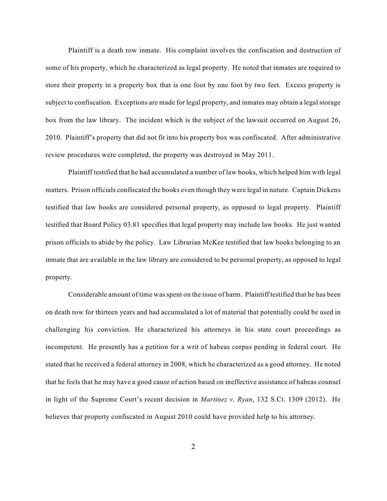Plaintiff is a death row inmate. His complaint involves the confiscation and destruction of some of his property, which he characterized as legal property. He noted that inmates are required to store their property in a property box that is one foot by one foot by two feet. Excess property is subject to confiscation. Exceptions are made for legal property, and inmates may obtain a legalstorage box from the law library. The incident which is the subject of the lawsuit occurred on August 26, 2010. Plaintiff's property that did not fit into his property box was confiscated. After administrative review procedures were completed, the property was destroyed in May 2011.

Plaintiff testified that he had accumulated a number of law books, which helped him with legal matters. Prison officials confiscated the books even though they were legal in nature. Captain Dickens testified that law books are considered personal property, as opposed to legal property. Plaintiff testified that Board Policy 03.81 specifies that legal property may include law books. He just wanted prison officials to abide by the policy. Law Librarian McKee testified that law books belonging to an inmate that are available in the law library are considered to be personal property, as opposed to legal property.

Considerable amount of time was spent on the issue of harm. Plaintiff testified that he has been on death row for thirteen years and had accumulated a lot of material that potentially could be used in challenging his conviction. He characterized his attorneys in his state court proceedings as incompetent. He presently has a petition for a writ of habeas corpus pending in federal court. He stated that he received a federal attorney in 2008, which he characterized as a good attorney. He noted that he feels that he may have a good cause of action based on ineffective assistance of habeas counsel in light of the Supreme Court's recent decision in *Martinez v. Ryan*, 132 S.Ct. 1309 (2012). He believes that property confiscated in August 2010 could have provided help to his attorney.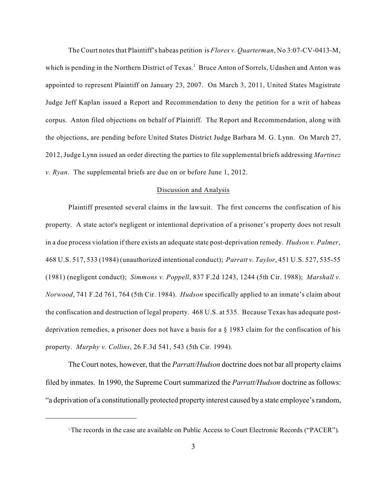The Court notesthat Plaintiff's habeas petition is *Flores v. Quarterman*, No 3:07-CV-0413-M, which is pending in the Northern District of Texas.<sup>1</sup> Bruce Anton of Sorrels, Udashen and Anton was appointed to represent Plaintiff on January 23, 2007. On March 3, 2011, United States Magistrate Judge Jeff Kaplan issued a Report and Recommendation to deny the petition for a writ of habeas corpus. Anton filed objections on behalf of Plaintiff. The Report and Recommendation, along with the objections, are pending before United States District Judge Barbara M. G. Lynn. On March 27, 2012, Judge Lynn issued an order directing the parties to file supplemental briefs addressing *Martinez v. Ryan*. The supplemental briefs are due on or before June 1, 2012.

#### Discussion and Analysis

Plaintiff presented several claims in the lawsuit. The first concerns the confiscation of his property. A state actor's negligent or intentional deprivation of a prisoner's property does not result in a due process violation if there exists an adequate state post-deprivation remedy. *Hudson v. Palmer*, 468 U.S. 517, 533 (1984) (unauthorized intentional conduct); *Parratt v. Taylor*, 451 U.S. 527, 535-55 (1981) (negligent conduct); *Simmons v. Poppell*, 837 F.2d 1243, 1244 (5th Cir. 1988); *Marshall v. Norwood*, 741 F.2d 761, 764 (5th Cir. 1984). *Hudson* specifically applied to an inmate's claim about the confiscation and destruction of legal property. 468 U.S. at 535. Because Texas has adequate postdeprivation remedies, a prisoner does not have a basis for a § 1983 claim for the confiscation of his property. *Murphy v. Collins*, 26 F.3d 541, 543 (5th Cir. 1994).

The Court notes, however, that the *Parratt/Hudson* doctrine does not bar all property claims filed by inmates. In 1990, the Supreme Court summarized the *Parratt/Hudson* doctrine as follows: "a deprivation of a constitutionally protected property interest caused by a state employee's random,

 $1$ <sup>T</sup>he records in the case are available on Public Access to Court Electronic Records ("PACER").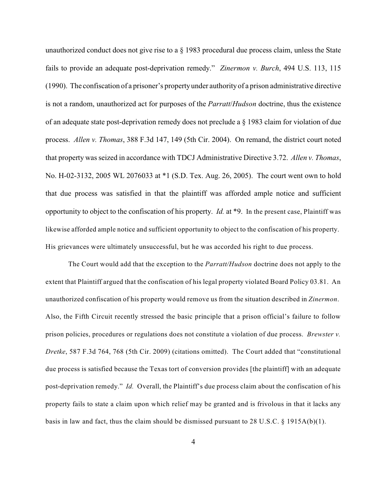unauthorized conduct does not give rise to a  $\S$  1983 procedural due process claim, unless the State fails to provide an adequate post-deprivation remedy." *Zinermon v. Burch*, 494 U.S. 113, 115 (1990). The confiscation of a prisoner's propertyunder authority of a prison administrative directive is not a random, unauthorized act for purposes of the *Parratt*/*Hudson* doctrine, thus the existence of an adequate state post-deprivation remedy does not preclude a § 1983 claim for violation of due process. *Allen v. Thomas*, 388 F.3d 147, 149 (5th Cir. 2004). On remand, the district court noted that property was seized in accordance with TDCJ Administrative Directive 3.72. *Allen v. Thomas*, No. H-02-3132, 2005 WL 2076033 at \*1 (S.D. Tex. Aug. 26, 2005). The court went own to hold that due process was satisfied in that the plaintiff was afforded ample notice and sufficient opportunity to object to the confiscation of his property. *Id.* at \*9. In the present case, Plaintiff was likewise afforded ample notice and sufficient opportunity to object to the confiscation of his property. His grievances were ultimately unsuccessful, but he was accorded his right to due process.

The Court would add that the exception to the *Parratt/Hudson* doctrine does not apply to the extent that Plaintiff argued that the confiscation of his legal property violated Board Policy 03.81. An unauthorized confiscation of his property would remove us from the situation described in *Zinermon*. Also, the Fifth Circuit recently stressed the basic principle that a prison official's failure to follow prison policies, procedures or regulations does not constitute a violation of due process. *Brewster v. Dretke*, 587 F.3d 764, 768 (5th Cir. 2009) (citations omitted). The Court added that "constitutional due process is satisfied because the Texas tort of conversion provides [the plaintiff] with an adequate post-deprivation remedy." *Id.* Overall, the Plaintiff's due process claim about the confiscation of his property fails to state a claim upon which relief may be granted and is frivolous in that it lacks any basis in law and fact, thus the claim should be dismissed pursuant to 28 U.S.C.  $\S$  1915A(b)(1).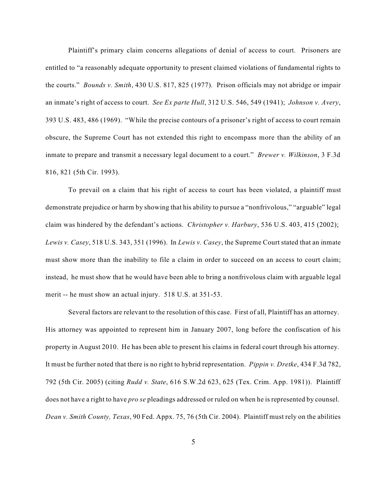Plaintiff's primary claim concerns allegations of denial of access to court. Prisoners are entitled to "a reasonably adequate opportunity to present claimed violations of fundamental rights to the courts." *Bounds v. Smith*, 430 U.S. 817, 825 (1977). Prison officials may not abridge or impair an inmate's right of access to court. *See Ex parte Hull*, 312 U.S. 546, 549 (1941); *Johnson v. Avery*, 393 U.S. 483, 486 (1969). "While the precise contours of a prisoner's right of access to court remain obscure, the Supreme Court has not extended this right to encompass more than the ability of an inmate to prepare and transmit a necessary legal document to a court." *Brewer v. Wilkinson*, 3 F.3d 816, 821 (5th Cir. 1993).

To prevail on a claim that his right of access to court has been violated, a plaintiff must demonstrate prejudice or harm by showing that his ability to pursue a "nonfrivolous," "arguable" legal claim was hindered by the defendant's actions. *Christopher v. Harbury*, 536 U.S. 403, 415 (2002); *Lewis v. Casey*, 518 U.S. 343, 351 (1996). In *Lewis v. Casey*, the Supreme Court stated that an inmate must show more than the inability to file a claim in order to succeed on an access to court claim; instead, he must show that he would have been able to bring a nonfrivolous claim with arguable legal merit -- he must show an actual injury. 518 U.S. at 351-53.

Several factors are relevant to the resolution of this case. First of all, Plaintiff has an attorney. His attorney was appointed to represent him in January 2007, long before the confiscation of his property in August 2010. He has been able to present his claims in federal court through his attorney. It must be further noted that there is no right to hybrid representation. *Pippin v. Dretke*, 434 F.3d 782, 792 (5th Cir. 2005) (citing *Rudd v. State*, 616 S.W.2d 623, 625 (Tex. Crim. App. 1981)). Plaintiff does not have a right to have *pro se* pleadings addressed or ruled on when he is represented by counsel. *Dean v. Smith County, Texas*, 90 Fed. Appx. 75, 76 (5th Cir. 2004). Plaintiff must rely on the abilities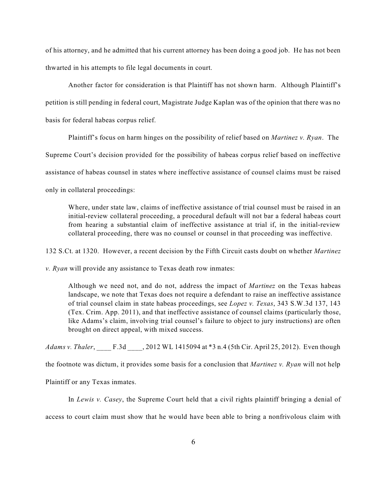of his attorney, and he admitted that his current attorney has been doing a good job. He has not been thwarted in his attempts to file legal documents in court.

Another factor for consideration is that Plaintiff has not shown harm. Although Plaintiff's petition is still pending in federal court, Magistrate Judge Kaplan was of the opinion that there was no basis for federal habeas corpus relief.

Plaintiff's focus on harm hinges on the possibility of relief based on *Martinez v. Ryan*. The

Supreme Court's decision provided for the possibility of habeas corpus relief based on ineffective

assistance of habeas counsel in states where ineffective assistance of counsel claims must be raised

only in collateral proceedings:

Where, under state law, claims of ineffective assistance of trial counsel must be raised in an initial-review collateral proceeding, a procedural default will not bar a federal habeas court from hearing a substantial claim of ineffective assistance at trial if, in the initial-review collateral proceeding, there was no counsel or counsel in that proceeding was ineffective.

132 S.Ct. at 1320. However, a recent decision by the Fifth Circuit casts doubt on whether *Martinez*

*v. Ryan* will provide any assistance to Texas death row inmates:

Although we need not, and do not, address the impact of *Martinez* on the Texas habeas landscape, we note that Texas does not require a defendant to raise an ineffective assistance of trial counsel claim in state habeas proceedings, see *Lopez v. Texas*, 343 S.W.3d 137, 143 (Tex. Crim. App. 2011), and that ineffective assistance of counsel claims (particularly those, like Adams's claim, involving trial counsel's failure to object to jury instructions) are often brought on direct appeal, with mixed success.

*Adams v. Thaler*, \_\_\_\_ F.3d \_\_\_\_, 2012 WL 1415094 at \*3 n.4 (5th Cir. April 25, 2012). Even though

the footnote was dictum, it provides some basis for a conclusion that *Martinez v. Ryan* will not help

Plaintiff or any Texas inmates.

In *Lewis v. Casey*, the Supreme Court held that a civil rights plaintiff bringing a denial of access to court claim must show that he would have been able to bring a nonfrivolous claim with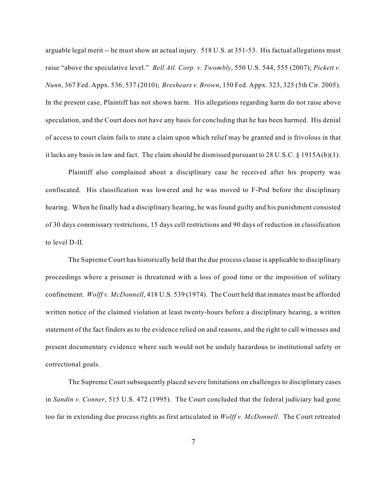arguable legal merit -- he must show an actual injury. 518 U.S. at 351-53. His factual allegations must raise "above the speculative level." *Bell Atl. Corp. v. Twombly*, 550 U.S. 544, 555 (2007); *Pickett v. Nunn*, 367 Fed. Appx. 536, 537 (2010); *Breshears v. Brown*, 150 Fed. Appx. 323, 325 (5th Cir. 2005). In the present case, Plaintiff has not shown harm. His allegations regarding harm do not raise above speculation, and the Court does not have any basis for concluding that he has been harmed. His denial of access to court claim fails to state a claim upon which relief may be granted and is frivolous in that it lacks any basis in law and fact. The claim should be dismissed pursuant to 28 U.S.C. § 1915A(b)(1).

Plaintiff also complained about a disciplinary case he received after his property was confiscated. His classification was lowered and he was moved to F-Pod before the disciplinary hearing. When he finally had a disciplinary hearing, he was found guilty and his punishment consisted of 30 days commissary restrictions, 15 days cell restrictions and 90 days of reduction in classification to level D-II.

The Supreme Court has historically held that the due process clause is applicable to disciplinary proceedings where a prisoner is threatened with a loss of good time or the imposition of solitary confinement. *Wolff v. McDonnell*, 418 U.S. 539 (1974). The Court held that inmates must be afforded written notice of the claimed violation at least twenty-hours before a disciplinary hearing, a written statement of the fact finders as to the evidence relied on and reasons, and the right to call witnesses and present documentary evidence where such would not be unduly hazardous to institutional safety or correctional goals.

The Supreme Court subsequently placed severe limitations on challenges to disciplinary cases in *Sandin v. Conner*, 515 U.S. 472 (1995). The Court concluded that the federal judiciary had gone too far in extending due process rights as first articulated in *Wolff v. McDonnell*. The Court retreated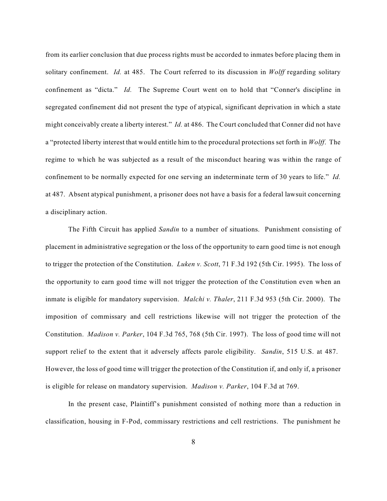from its earlier conclusion that due process rights must be accorded to inmates before placing them in solitary confinement. *Id.* at 485. The Court referred to its discussion in *Wolff* regarding solitary confinement as "dicta." *Id.* The Supreme Court went on to hold that "Conner's discipline in segregated confinement did not present the type of atypical, significant deprivation in which a state might conceivably create a liberty interest." *Id.* at 486. The Court concluded that Conner did not have a "protected liberty interest that would entitle him to the procedural protections set forth in *Wolff*. The regime to which he was subjected as a result of the misconduct hearing was within the range of confinement to be normally expected for one serving an indeterminate term of 30 years to life." *Id.* at 487. Absent atypical punishment, a prisoner does not have a basis for a federal lawsuit concerning a disciplinary action.

The Fifth Circuit has applied *Sandin* to a number of situations. Punishment consisting of placement in administrative segregation or the loss of the opportunity to earn good time is not enough to trigger the protection of the Constitution. *Luken v. Scott*, 71 F.3d 192 (5th Cir. 1995). The loss of the opportunity to earn good time will not trigger the protection of the Constitution even when an inmate is eligible for mandatory supervision. *Malchi v. Thaler*, 211 F.3d 953 (5th Cir. 2000). The imposition of commissary and cell restrictions likewise will not trigger the protection of the Constitution. *Madison v. Parker*, 104 F.3d 765, 768 (5th Cir. 1997). The loss of good time will not support relief to the extent that it adversely affects parole eligibility. *Sandin*, 515 U.S. at 487. However, the loss of good time will trigger the protection of the Constitution if, and only if, a prisoner is eligible for release on mandatory supervision. *Madison v. Parker*, 104 F.3d at 769.

In the present case, Plaintiff's punishment consisted of nothing more than a reduction in classification, housing in F-Pod, commissary restrictions and cell restrictions. The punishment he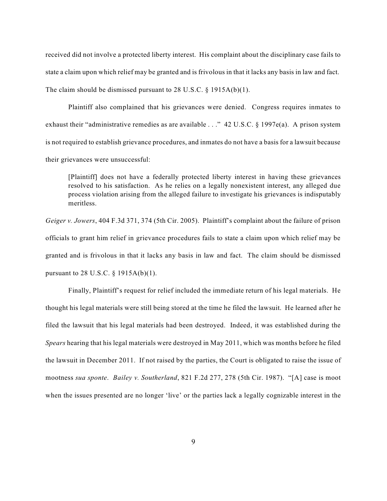received did not involve a protected liberty interest. His complaint about the disciplinary case fails to state a claim upon which relief may be granted and is frivolous in that it lacks any basis in law and fact. The claim should be dismissed pursuant to 28 U.S.C. § 1915A(b)(1).

Plaintiff also complained that his grievances were denied. Congress requires inmates to exhaust their "administrative remedies as are available . . ." 42 U.S.C. § 1997e(a). A prison system is not required to establish grievance procedures, and inmates do not have a basis for a lawsuit because their grievances were unsuccessful:

[Plaintiff] does not have a federally protected liberty interest in having these grievances resolved to his satisfaction. As he relies on a legally nonexistent interest, any alleged due process violation arising from the alleged failure to investigate his grievances is indisputably meritless.

*Geiger v. Jowers*, 404 F.3d 371, 374 (5th Cir. 2005). Plaintiff's complaint about the failure of prison officials to grant him relief in grievance procedures fails to state a claim upon which relief may be granted and is frivolous in that it lacks any basis in law and fact. The claim should be dismissed pursuant to 28 U.S.C. § 1915A(b)(1).

Finally, Plaintiff's request for relief included the immediate return of his legal materials. He thought his legal materials were still being stored at the time he filed the lawsuit. He learned after he filed the lawsuit that his legal materials had been destroyed. Indeed, it was established during the *Spears* hearing that his legal materials were destroyed in May 2011, which was months before he filed the lawsuit in December 2011. If not raised by the parties, the Court is obligated to raise the issue of mootness *sua sponte*. *Bailey v. Southerland*, 821 F.2d 277, 278 (5th Cir. 1987). "[A] case is moot when the issues presented are no longer 'live' or the parties lack a legally cognizable interest in the